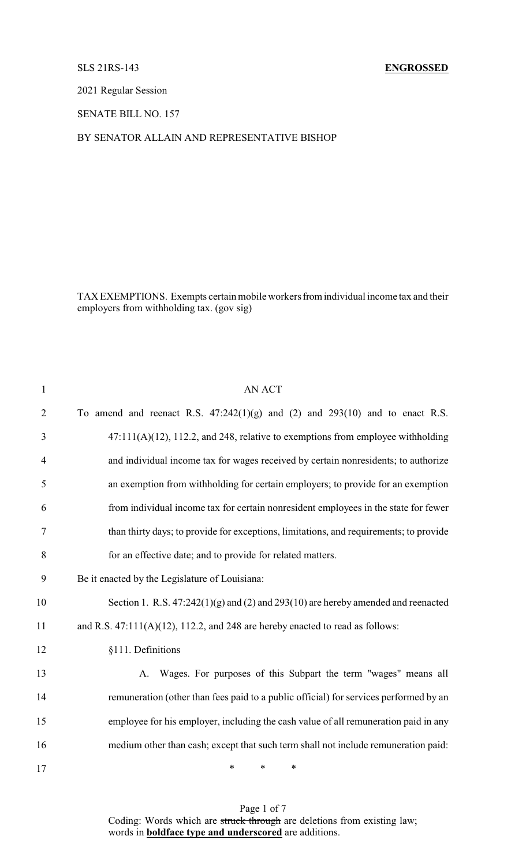# SLS 21RS-143 **ENGROSSED**

2021 Regular Session

SENATE BILL NO. 157

# BY SENATOR ALLAIN AND REPRESENTATIVE BISHOP

TAX EXEMPTIONS. Exempts certain mobile workers from individual income tax and their employers from withholding tax. (gov sig)

| $\mathbf{1}$   | <b>AN ACT</b>                                                                          |
|----------------|----------------------------------------------------------------------------------------|
| $\overline{2}$ | To amend and reenact R.S. $47:242(1)(g)$ and $(2)$ and $293(10)$ and to enact R.S.     |
| 3              | $47:111(A)(12)$ , 112.2, and 248, relative to exemptions from employee withholding     |
| $\overline{4}$ | and individual income tax for wages received by certain nonresidents; to authorize     |
| 5              | an exemption from withholding for certain employers; to provide for an exemption       |
| 6              | from individual income tax for certain nonresident employees in the state for fewer    |
| 7              | than thirty days; to provide for exceptions, limitations, and requirements; to provide |
| 8              | for an effective date; and to provide for related matters.                             |
| 9              | Be it enacted by the Legislature of Louisiana:                                         |
| 10             | Section 1. R.S. $47:242(1)(g)$ and (2) and 293(10) are hereby amended and reenacted    |
| 11             | and R.S. $47:111(A)(12)$ , 112.2, and 248 are hereby enacted to read as follows:       |
| 12             | §111. Definitions                                                                      |
| 13             | A. Wages. For purposes of this Subpart the term "wages" means all                      |
| 14             | remuneration (other than fees paid to a public official) for services performed by an  |
| 15             | employee for his employer, including the cash value of all remuneration paid in any    |
| 16             | medium other than cash; except that such term shall not include remuneration paid:     |
| 17             | $\ast$<br>$\ast$<br>*                                                                  |

Page 1 of 7 Coding: Words which are struck through are deletions from existing law; words in **boldface type and underscored** are additions.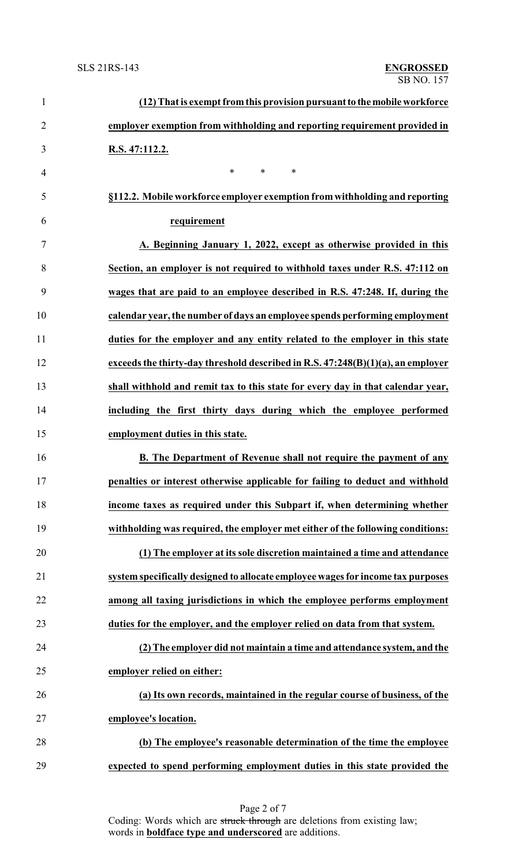| $\mathbf{1}$   | (12) That is exempt from this provision pursuant to the mobile workforce        |
|----------------|---------------------------------------------------------------------------------|
| $\overline{2}$ | employer exemption from withholding and reporting requirement provided in       |
| 3              | R.S. 47:112.2.                                                                  |
| $\overline{4}$ | *<br>$\ast$<br>$\ast$                                                           |
| 5              | §112.2. Mobile workforce employer exemption from withholding and reporting      |
| 6              | requirement                                                                     |
| $\tau$         | A. Beginning January 1, 2022, except as otherwise provided in this              |
| 8              | Section, an employer is not required to withhold taxes under R.S. 47:112 on     |
| 9              | wages that are paid to an employee described in R.S. 47:248. If, during the     |
| 10             | calendar year, the number of days an employee spends performing employment      |
| 11             | duties for the employer and any entity related to the employer in this state    |
| 12             | exceeds the thirty-day threshold described in R.S. 47:248(B)(1)(a), an employer |
| 13             | shall withhold and remit tax to this state for every day in that calendar year, |
| 14             | including the first thirty days during which the employee performed             |
| 15             | employment duties in this state.                                                |
| 16             | B. The Department of Revenue shall not require the payment of any               |
| 17             | penalties or interest otherwise applicable for failing to deduct and withhold   |
| 18             | income taxes as required under this Subpart if, when determining whether        |
| 19             | withholding was required, the employer met either of the following conditions:  |
| 20             | (1) The employer at its sole discretion maintained a time and attendance        |
| 21             | system specifically designed to allocate employee wages for income tax purposes |
| 22             | among all taxing jurisdictions in which the employee performs employment        |
| 23             | duties for the employer, and the employer relied on data from that system.      |
| 24             | (2) The employer did not maintain a time and attendance system, and the         |
| 25             | employer relied on either:                                                      |
| 26             | (a) Its own records, maintained in the regular course of business, of the       |
| 27             | employee's location.                                                            |
| 28             | (b) The employee's reasonable determination of the time the employee            |
| 29             | expected to spend performing employment duties in this state provided the       |

Page 2 of 7 Coding: Words which are struck through are deletions from existing law; words in **boldface type and underscored** are additions.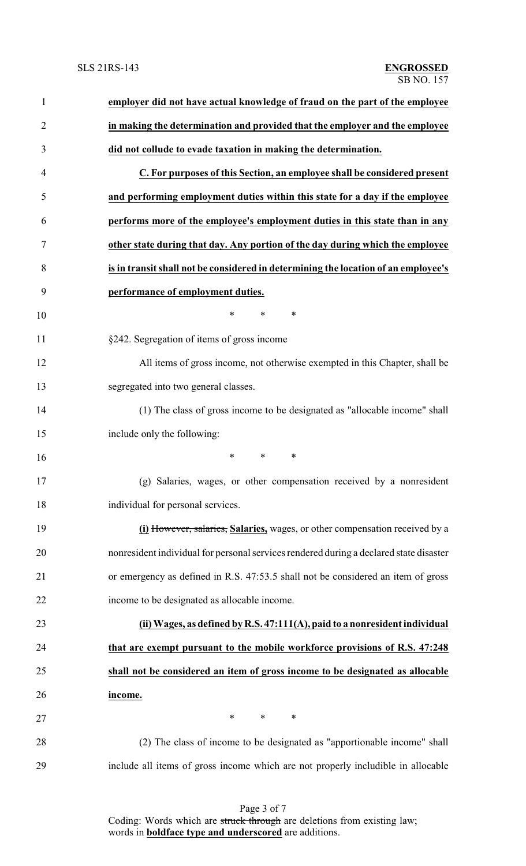| 1              | employer did not have actual knowledge of fraud on the part of the employee            |
|----------------|----------------------------------------------------------------------------------------|
| $\overline{2}$ | in making the determination and provided that the employer and the employee            |
| 3              | did not collude to evade taxation in making the determination.                         |
| 4              | C. For purposes of this Section, an employee shall be considered present               |
| 5              | and performing employment duties within this state for a day if the employee           |
| 6              | performs more of the employee's employment duties in this state than in any            |
| 7              | other state during that day. Any portion of the day during which the employee          |
| 8              | is in transit shall not be considered in determining the location of an employee's     |
| 9              | performance of employment duties.                                                      |
| 10             | $\ast$<br>$\ast$<br>∗                                                                  |
| 11             | §242. Segregation of items of gross income                                             |
| 12             | All items of gross income, not otherwise exempted in this Chapter, shall be            |
| 13             | segregated into two general classes.                                                   |
| 14             | (1) The class of gross income to be designated as "allocable income" shall             |
| 15             | include only the following:                                                            |
| 16             | *<br>$\ast$<br>$\ast$                                                                  |
| 17             | (g) Salaries, wages, or other compensation received by a nonresident                   |
| 18             | individual for personal services.                                                      |
| 19             | (i) However, salaries, Salaries, wages, or other compensation received by a            |
| 20             | nonresident individual for personal services rendered during a declared state disaster |
| 21             | or emergency as defined in R.S. 47:53.5 shall not be considered an item of gross       |
| 22             | income to be designated as allocable income.                                           |
| 23             | (ii) Wages, as defined by R.S. 47:111(A), paid to a nonresident individual             |
| 24             | that are exempt pursuant to the mobile workforce provisions of R.S. 47:248             |
| 25             | shall not be considered an item of gross income to be designated as allocable          |
| 26             | income.                                                                                |
| 27             | $\ast$<br>$*$ and $*$<br>∗                                                             |
| 28             | (2) The class of income to be designated as "apportionable income" shall               |
| 29             | include all items of gross income which are not properly includible in allocable       |
|                |                                                                                        |

Page 3 of 7 Coding: Words which are struck through are deletions from existing law; words in **boldface type and underscored** are additions.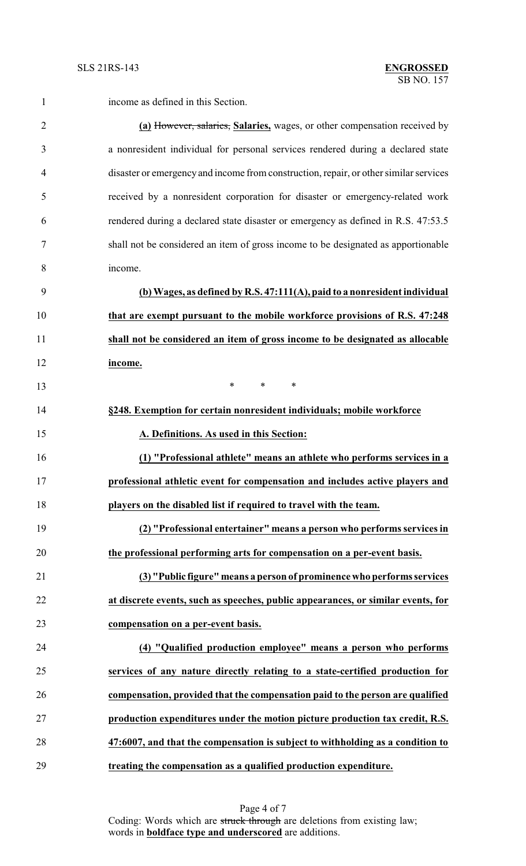|  | 1 <sub>nco</sub> |
|--|------------------|
|  |                  |

income as defined in this Section.

 **(a)** However, salaries, **Salaries,** wages, or other compensation received by a nonresident individual for personal services rendered during a declared state disaster or emergencyand income from construction, repair, or other similar services received by a nonresident corporation for disaster or emergency-related work rendered during a declared state disaster or emergency as defined in R.S. 47:53.5 shall not be considered an item of gross income to be designated as apportionable income.

 **(b) Wages, as defined by R.S. 47:111(A), paid to a nonresident individual that are exempt pursuant to the mobile workforce provisions of R.S. 47:248 shall not be considered an item of gross income to be designated as allocable income.**

**\*** \* \* \* **§248. Exemption for certain nonresident individuals; mobile workforce A. Definitions. As used in this Section: (1) "Professional athlete" means an athlete who performs services in a professional athletic event for compensation and includes active players and**

**players on the disabled list if required to travel with the team.**

 **(2) "Professional entertainer" means a person who performs services in the professional performing arts for compensation on a per-event basis.**

 **(3) "Public figure" means a person of prominence who performs services at discrete events, such as speeches, public appearances, or similar events, for compensation on a per-event basis.**

 **(4) "Qualified production employee" means a person who performs services of any nature directly relating to a state-certified production for compensation, provided that the compensation paid to the person are qualified production expenditures under the motion picture production tax credit, R.S. 47:6007, and that the compensation is subject to withholding as a condition to treating the compensation as a qualified production expenditure.**

> Page 4 of 7 Coding: Words which are struck through are deletions from existing law; words in **boldface type and underscored** are additions.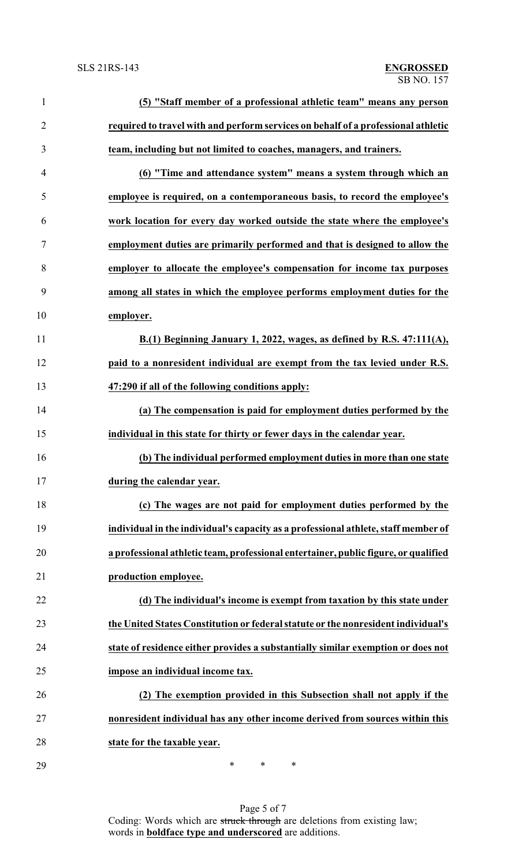| $\mathbf{1}$   | (5) "Staff member of a professional athletic team" means any person                 |
|----------------|-------------------------------------------------------------------------------------|
| $\overline{2}$ | required to travel with and perform services on behalf of a professional athletic   |
| 3              | team, including but not limited to coaches, managers, and trainers.                 |
| $\overline{4}$ | (6) "Time and attendance system" means a system through which an                    |
| 5              | employee is required, on a contemporaneous basis, to record the employee's          |
| 6              | work location for every day worked outside the state where the employee's           |
| 7              | employment duties are primarily performed and that is designed to allow the         |
| 8              | employer to allocate the employee's compensation for income tax purposes            |
| 9              | among all states in which the employee performs employment duties for the           |
| 10             | employer.                                                                           |
| 11             | B.(1) Beginning January 1, 2022, wages, as defined by R.S. 47:111(A),               |
| 12             | paid to a nonresident individual are exempt from the tax levied under R.S.          |
| 13             | 47:290 if all of the following conditions apply:                                    |
| 14             | (a) The compensation is paid for employment duties performed by the                 |
| 15             | individual in this state for thirty or fewer days in the calendar year.             |
| 16             | (b) The individual performed employment duties in more than one state               |
| 17             | during the calendar year.                                                           |
| 18             | (c) The wages are not paid for employment duties performed by the                   |
| 19             | individual in the individual's capacity as a professional athlete, staff member of  |
| 20             | a professional athletic team, professional entertainer, public figure, or qualified |
| 21             | production employee.                                                                |
| 22             | (d) The individual's income is exempt from taxation by this state under             |
| 23             | the United States Constitution or federal statute or the nonresident individual's   |
| 24             | state of residence either provides a substantially similar exemption or does not    |
| 25             | impose an individual income tax.                                                    |
| 26             | (2) The exemption provided in this Subsection shall not apply if the                |
| 27             | nonresident individual has any other income derived from sources within this        |
| 28             | state for the taxable year.                                                         |
|                |                                                                                     |

\* \* \*

Page 5 of 7 Coding: Words which are struck through are deletions from existing law; words in **boldface type and underscored** are additions.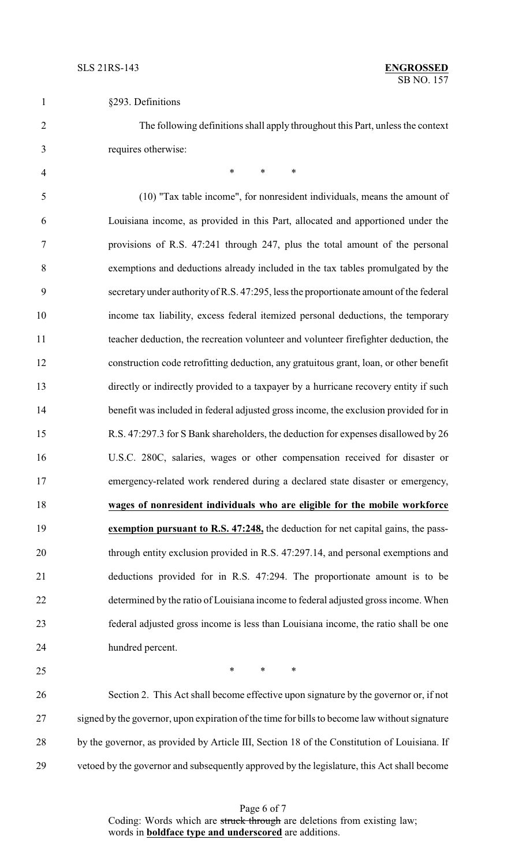| §293. Definitions |  |
|-------------------|--|
|-------------------|--|

 The following definitions shall apply throughout this Part, unless the context requires otherwise:

4 \* \* \* \* (10) "Tax table income", for nonresident individuals, means the amount of Louisiana income, as provided in this Part, allocated and apportioned under the provisions of R.S. 47:241 through 247, plus the total amount of the personal exemptions and deductions already included in the tax tables promulgated by the secretary under authority of R.S. 47:295, less the proportionate amount of the federal income tax liability, excess federal itemized personal deductions, the temporary teacher deduction, the recreation volunteer and volunteer firefighter deduction, the construction code retrofitting deduction, any gratuitous grant, loan, or other benefit directly or indirectly provided to a taxpayer by a hurricane recovery entity if such benefit was included in federal adjusted gross income, the exclusion provided for in R.S. 47:297.3 for S Bank shareholders, the deduction for expenses disallowed by 26 U.S.C. 280C, salaries, wages or other compensation received for disaster or emergency-related work rendered during a declared state disaster or emergency, **wages of nonresident individuals who are eligible for the mobile workforce exemption pursuant to R.S. 47:248,** the deduction for net capital gains, the pass- through entity exclusion provided in R.S. 47:297.14, and personal exemptions and deductions provided for in R.S. 47:294. The proportionate amount is to be determined by the ratio of Louisiana income to federal adjusted gross income. When federal adjusted gross income is less than Louisiana income, the ratio shall be one hundred percent.

 $*$  \* \* \*

 Section 2. This Act shall become effective upon signature by the governor or, if not signed by the governor, upon expiration of the time for bills to become law without signature 28 by the governor, as provided by Article III, Section 18 of the Constitution of Louisiana. If vetoed by the governor and subsequently approved by the legislature, this Act shall become

> Page 6 of 7 Coding: Words which are struck through are deletions from existing law; words in **boldface type and underscored** are additions.